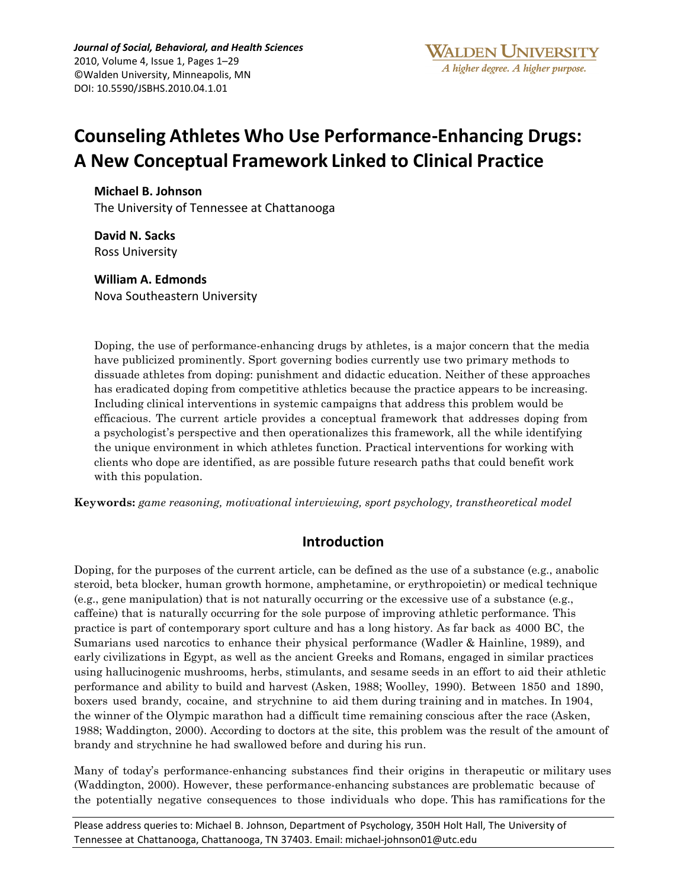Journal of Social, Behavioral, and Health Sciences 2010, Volume 4, Issue 1, Pages 1-29 ©Walden University, Minneapolis, MN DOI:%10.5590/JSBHS.2010.04.1.01

# **Counseling Athletes Who Use Performance-Enhancing Drugs: A\*New Conceptual Framework Linked to Clinical Practice**

#### **Michael\*B.\*Johnson**

The University of Tennessee at Chattanooga

**David N. Sacks Ross University** 

#### **William A.\*Edmonds**

Nova%Southeastern University

Doping, the use of performance-enhancing drugs by athletes, is a major concern that the media have publicized prominently. Sport governing bodies currently use two primary methods to dissuade athletes from doping: punishment and didactic education. Neither of these approaches has eradicated doping from competitive athletics because the practice appears to be increasing. Including clinical interventions in systemic campaigns that address this problem would be efficacious. The current article provides a conceptual framework that addresses doping from a psychologist's perspective and then operationalizes this framework, all the while identifying the unique environment in which athletes function. Practical interventions for working with clients who dope are identified, as are possible future research paths that could benefit work with this population.

**Keywords:** *game reasoning, motivational interviewing, sport psychology, transtheoretical model*

# **Introduction**

Doping, for the purposes of the current article, can be defined as the use of a substance (e.g., anabolic steroid, beta blocker, human growth hormone, amphetamine, or erythropoietin) or medical technique (e.g., gene manipulation) that is not naturally occurring or the excessive use of a substance (e.g., caffeine) that is naturally occurring for the sole purpose of improving athletic performance. This practice is part of contemporary sport culture and has a long history. As far back as 4000 BC, the Sumarians used narcotics to enhance their physical performance (Wadler & Hainline, 1989), and early civilizations in Egypt, as well as the ancient Greeks and Romans, engaged in similar practices using hallucinogenic mushrooms, herbs, stimulants, and sesame seeds in an effort to aid their athletic performance and ability to build and harvest (Asken, 1988; Woolley, 1990). Between 1850 and 1890, boxers used brandy, cocaine, and strychnine to aid them during training and in matches. In 1904, the winner of the Olympic marathon had a difficult time remaining conscious after the race (Asken, 1988; Waddington, 2000). According to doctors at the site, this problem was the result of the amount of brandy and strychnine he had swallowed before and during his run.

Many of today's performance-enhancing substances find their origins in therapeutic or military uses (Waddington, 2000). However, these performance-enhancing substances are problematic because of the potentially negative consequences to those individuals who dope. This has ramifications for the

Please address queries to: Michael B. Johnson, Department of Psychology, 350H Holt Hall, The University of Tennessee at Chattanooga, Chattanooga, TN 37403. Email: michael-johnson01@utc.edu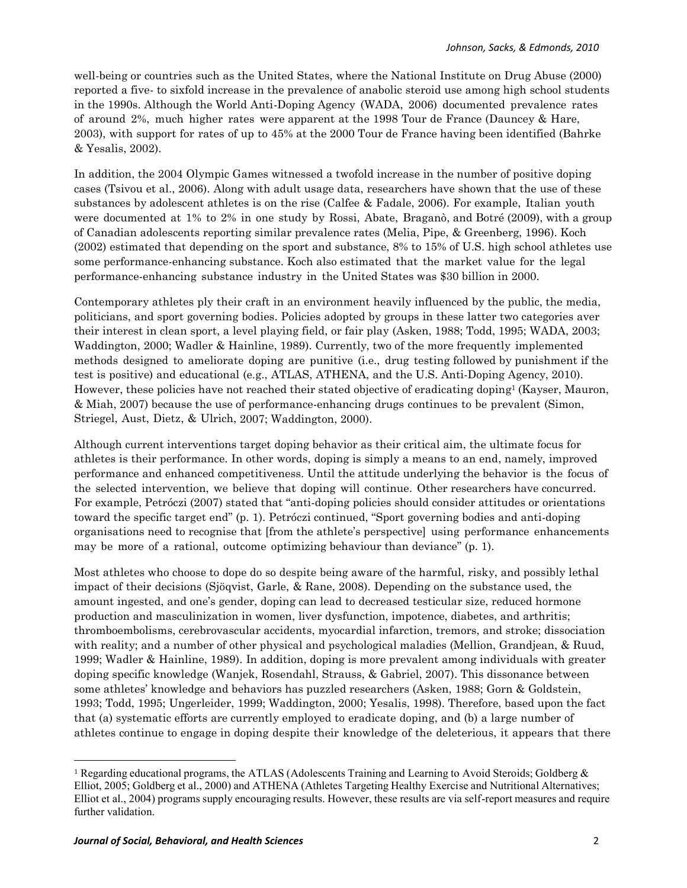well-being or countries such as the United States, where the National Institute on Drug Abuse (2000) reported a five- to sixfold increase in the prevalence of anabolic steroid use among high school students in the 1990s. Although the World Anti-Doping Agency (WADA, 2006) documented prevalence rates of around 2%, much higher rates were apparent at the 1998 Tour de France (Dauncey & Hare, 2003), with support for rates of up to 45% at the 2000 Tour de France having been identified (Bahrke & Yesalis, 2002).

In addition, the 2004 Olympic Games witnessed a twofold increase in the number of positive doping cases (Tsivou et al., 2006). Along with adult usage data, researchers have shown that the use of these substances by adolescent athletes is on the rise (Calfee & Fadale, 2006). For example, Italian youth were documented at 1% to 2% in one study by Rossi, Abate, Braganò, and Botré (2009), with a group of Canadian adolescents reporting similar prevalence rates (Melia, Pipe, & Greenberg, 1996). Koch (2002) estimated that depending on the sport and substance, 8% to 15% of U.S. high school athletes use some performance-enhancing substance. Koch also estimated that the market value for the legal performance-enhancing substance industry in the United States was \$30 billion in 2000.

Contemporary athletes ply their craft in an environment heavily influenced by the public, the media, politicians, and sport governing bodies. Policies adopted by groups in these latter two categories aver their interest in clean sport, a level playing field, or fair play (Asken, 1988; Todd, 1995; WADA, 2003; Waddington, 2000; Wadler & Hainline, 1989). Currently, two of the more frequently implemented methods designed to ameliorate doping are punitive (i.e., drug testing followed by punishment if the test is positive) and educational (e.g., ATLAS, ATHENA, and the U.S. Anti-Doping Agency, 2010). However, these policies have not reached their stated objective of eradicating doping1 (Kayser, Mauron, & Miah, 2007) because the use of performance-enhancing drugs continues to be prevalent (Simon, Striegel, Aust, Dietz, & Ulrich, 2007; Waddington, 2000).

Although current interventions target doping behavior as their critical aim, the ultimate focus for athletes is their performance. In other words, doping is simply a means to an end, namely, improved performance and enhanced competitiveness. Until the attitude underlying the behavior is the focus of the selected intervention, we believe that doping will continue. Other researchers have concurred. For example, Petróczi (2007) stated that "anti-doping policies should consider attitudes or orientations toward the specific target end" (p. 1). Petróczi continued, "Sport governing bodies and anti-doping organisations need to recognise that [from the athlete's perspective] using performance enhancements may be more of a rational, outcome optimizing behaviour than deviance" (p. 1).

Most athletes who choose to dope do so despite being aware of the harmful, risky, and possibly lethal impact of their decisions (Sjöqvist, Garle, & Rane, 2008). Depending on the substance used, the amount ingested, and one's gender, doping can lead to decreased testicular size, reduced hormone production and masculinization in women, liver dysfunction, impotence, diabetes, and arthritis; thromboembolisms, cerebrovascular accidents, myocardial infarction, tremors, and stroke; dissociation with reality; and a number of other physical and psychological maladies (Mellion, Grandjean, & Ruud, 1999; Wadler & Hainline, 1989). In addition, doping is more prevalent among individuals with greater doping specific knowledge (Wanjek, Rosendahl, Strauss, & Gabriel, 2007). This dissonance between some athletes' knowledge and behaviors has puzzled researchers (Asken, 1988; Gorn & Goldstein, 1993; Todd, 1995; Ungerleider, 1999; Waddington, 2000; Yesalis, 1998). Therefore, based upon the fact that (a) systematic efforts are currently employed to eradicate doping, and (b) a large number of athletes continue to engage in doping despite their knowledge of the deleterious, it appears that there

%%%%%%%%%%%%%%%%%%%%%%%%%%%%%% %%%%%%%%%%%%%%%%%%%%%%%%%%%%

<sup>&</sup>lt;sup>1</sup> Regarding educational programs, the ATLAS (Adolescents Training and Learning to Avoid Steroids; Goldberg  $\&$ Elliot, 2005; Goldberg et al., 2000) and ATHENA (Athletes Targeting Healthy Exercise and Nutritional Alternatives; Elliot et al., 2004) programs supply encouraging results. However, these results are via self-report measures and require further validation.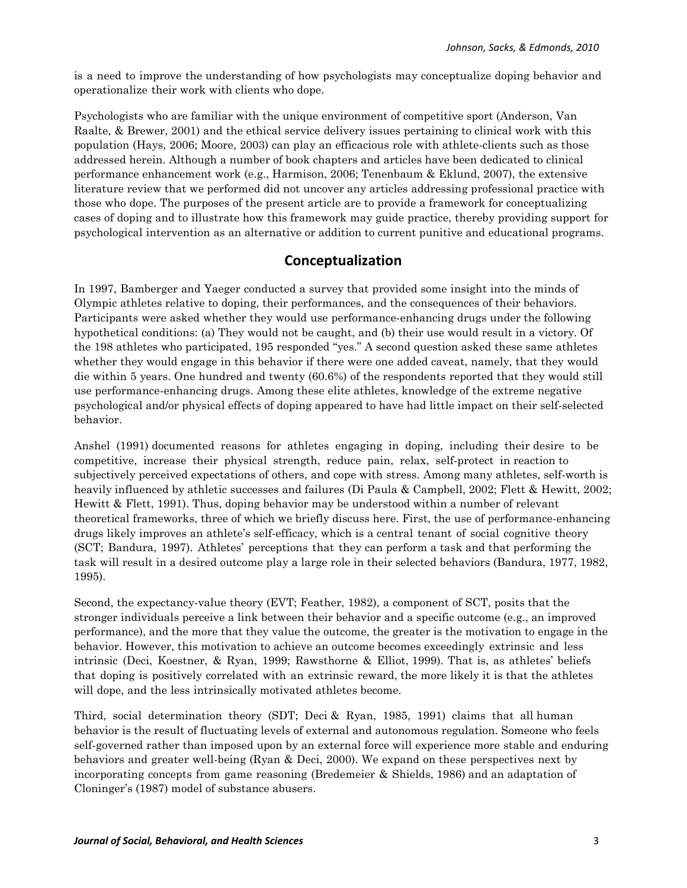is a need to improve the understanding of how psychologists may conceptualize doping behavior and operationalize their work with clients who dope.

Psychologists who are familiar with the unique environment of competitive sport (Anderson, Van Raalte, & Brewer, 2001) and the ethical service delivery issues pertaining to clinical work with this population (Hays, 2006; Moore, 2003) can play an efficacious role with athlete-clients such as those addressed herein. Although a number of book chapters and articles have been dedicated to clinical performance enhancement work (e.g., Harmison, 2006; Tenenbaum & Eklund, 2007), the extensive literature review that we performed did not uncover any articles addressing professional practice with those who dope. The purposes of the present article are to provide a framework for conceptualizing cases of doping and to illustrate how this framework may guide practice, thereby providing support for psychological intervention as an alternative or addition to current punitive and educational programs.

#### **Conceptualization**

In 1997, Bamberger and Yaeger conducted a survey that provided some insight into the minds of Olympic athletes relative to doping, their performances, and the consequences of their behaviors. Participants were asked whether they would use performance-enhancing drugs under the following hypothetical conditions: (a) They would not be caught, and (b) their use would result in a victory. Of the 198 athletes who participated, 195 responded "yes." A second question asked these same athletes whether they would engage in this behavior if there were one added caveat, namely, that they would die within 5 years. One hundred and twenty (60.6%) of the respondents reported that they would still use performance-enhancing drugs. Among these elite athletes, knowledge of the extreme negative psychological and/or physical effects of doping appeared to have had little impact on their self-selected behavior.

Anshel (1991) documented reasons for athletes engaging in doping, including their desire to be competitive, increase their physical strength, reduce pain, relax, self-protect in reaction to subjectively perceived expectations of others, and cope with stress. Among many athletes, self-worth is heavily influenced by athletic successes and failures (Di Paula & Campbell, 2002; Flett & Hewitt, 2002; Hewitt & Flett, 1991). Thus, doping behavior may be understood within a number of relevant theoretical frameworks, three of which we briefly discuss here. First, the use of performance-enhancing drugs likely improves an athlete's self-efficacy, which is a central tenant of social cognitive theory (SCT; Bandura, 1997). Athletes' perceptions that they can perform a task and that performing the task will result in a desired outcome play a large role in their selected behaviors (Bandura, 1977, 1982, 1995).

Second, the expectancy-value theory (EVT; Feather, 1982), a component of SCT, posits that the stronger individuals perceive a link between their behavior and a specific outcome (e.g., an improved performance), and the more that they value the outcome, the greater is the motivation to engage in the behavior. However, this motivation to achieve an outcome becomes exceedingly extrinsic and less intrinsic (Deci, Koestner, & Ryan, 1999; Rawsthorne & Elliot, 1999). That is, as athletes' beliefs that doping is positively correlated with an extrinsic reward, the more likely it is that the athletes will dope, and the less intrinsically motivated athletes become.

Third, social determination theory (SDT; Deci & Ryan, 1985, 1991) claims that all human behavior is the result of fluctuating levels of external and autonomous regulation. Someone who feels self-governed rather than imposed upon by an external force will experience more stable and enduring behaviors and greater well-being (Ryan & Deci, 2000). We expand on these perspectives next by incorporating concepts from game reasoning (Bredemeier & Shields, 1986) and an adaptation of Cloninger's (1987) model of substance abusers.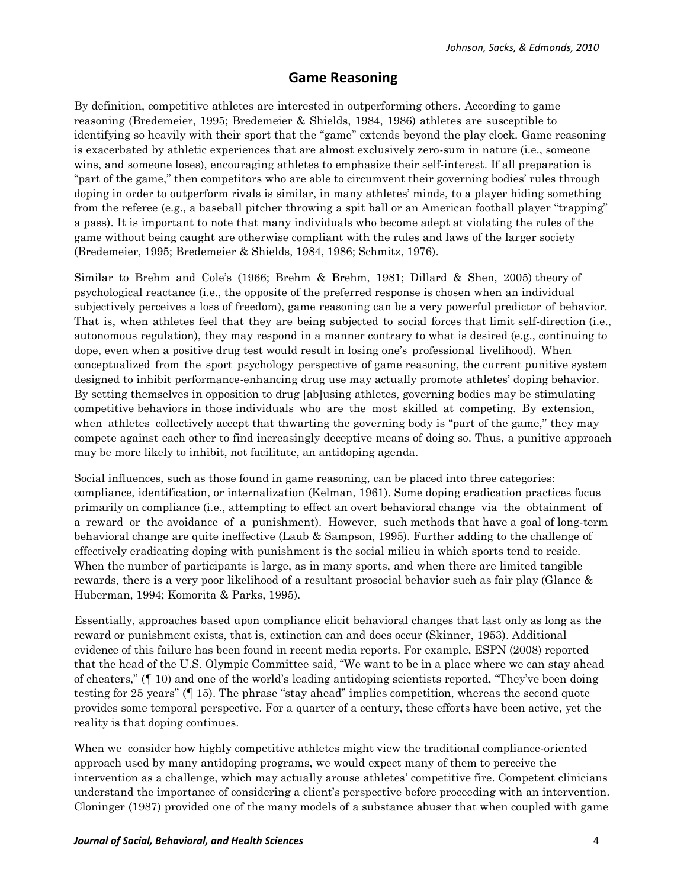### **Game Reasoning**

By definition, competitive athletes are interested in outperforming others. According to game reasoning (Bredemeier, 1995; Bredemeier & Shields, 1984, 1986) athletes are susceptible to identifying so heavily with their sport that the "game" extends beyond the play clock. Game reasoning is exacerbated by athletic experiences that are almost exclusively zero-sum in nature (i.e., someone wins, and someone loses), encouraging athletes to emphasize their self-interest. If all preparation is "part of the game," then competitors who are able to circumvent their governing bodies' rules through doping in order to outperform rivals is similar, in many athletes' minds, to a player hiding something from the referee (e.g., a baseball pitcher throwing a spit ball or an American football player "trapping" a pass). It is important to note that many individuals who become adept at violating the rules of the game without being caught are otherwise compliant with the rules and laws of the larger society (Bredemeier, 1995; Bredemeier & Shields, 1984, 1986; Schmitz, 1976).

Similar to Brehm and Cole's (1966; Brehm & Brehm, 1981; Dillard & Shen, 2005) theory of psychological reactance (i.e., the opposite of the preferred response is chosen when an individual subjectively perceives a loss of freedom), game reasoning can be a very powerful predictor of behavior. That is, when athletes feel that they are being subjected to social forces that limit self-direction (i.e., autonomous regulation), they may respond in a manner contrary to what is desired (e.g., continuing to dope, even when a positive drug test would result in losing one's professional livelihood). When conceptualized from the sport psychology perspective of game reasoning, the current punitive system designed to inhibit performance-enhancing drug use may actually promote athletes' doping behavior. By setting themselves in opposition to drug [ab]using athletes, governing bodies may be stimulating competitive behaviors in those individuals who are the most skilled at competing. By extension, when athletes collectively accept that thwarting the governing body is "part of the game," they may compete against each other to find increasingly deceptive means of doing so. Thus, a punitive approach may be more likely to inhibit, not facilitate, an antidoping agenda.

Social influences, such as those found in game reasoning, can be placed into three categories: compliance, identification, or internalization (Kelman, 1961). Some doping eradication practices focus primarily on compliance (i.e., attempting to effect an overt behavioral change via the obtainment of a reward or the avoidance of a punishment). However, such methods that have a goal of long-term behavioral change are quite ineffective (Laub & Sampson, 1995). Further adding to the challenge of effectively eradicating doping with punishment is the social milieu in which sports tend to reside. When the number of participants is large, as in many sports, and when there are limited tangible rewards, there is a very poor likelihood of a resultant prosocial behavior such as fair play (Glance & Huberman, 1994; Komorita & Parks, 1995).

Essentially, approaches based upon compliance elicit behavioral changes that last only as long as the reward or punishment exists, that is, extinction can and does occur (Skinner, 1953). Additional evidence of this failure has been found in recent media reports. For example, ESPN (2008) reported that the head of the U.S. Olympic Committee said, "We want to be in a place where we can stay ahead of cheaters," (¶ 10) and one of the world's leading antidoping scientists reported, "They've been doing testing for 25 years" (¶ 15). The phrase "stay ahead" implies competition, whereas the second quote provides some temporal perspective. For a quarter of a century, these efforts have been active, yet the reality is that doping continues.

When we consider how highly competitive athletes might view the traditional compliance-oriented approach used by many antidoping programs, we would expect many of them to perceive the intervention as a challenge, which may actually arouse athletes' competitive fire. Competent clinicians understand the importance of considering a client's perspective before proceeding with an intervention. Cloninger (1987) provided one of the many models of a substance abuser that when coupled with game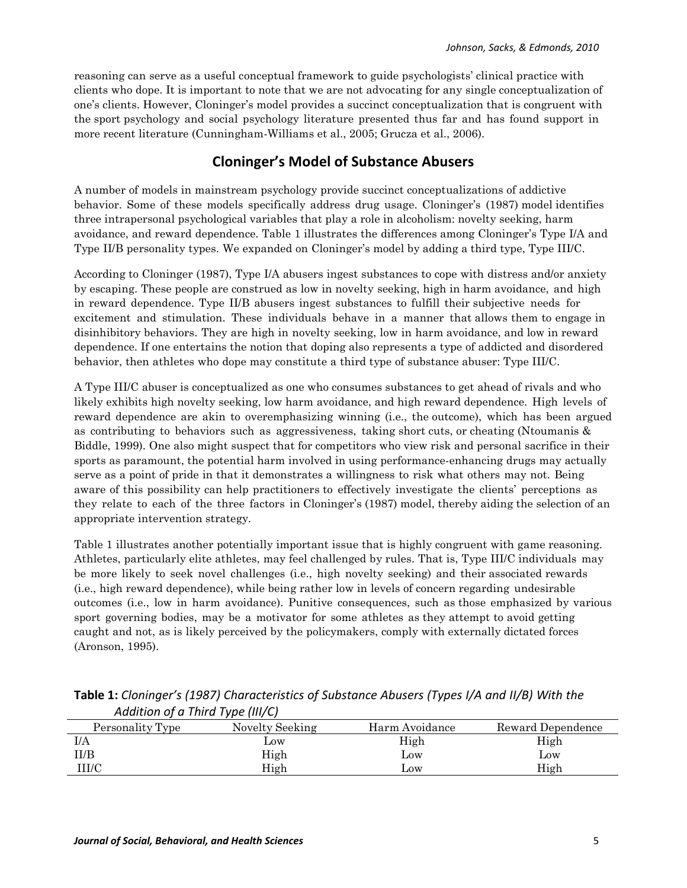reasoning can serve as a useful conceptual framework to guide psychologists' clinical practice with clients who dope. It is important to note that we are not advocating for any single conceptualization of one's clients. However, Cloninger's model provides a succinct conceptualization that is congruent with the sport psychology and social psychology literature presented thus far and has found support in more recent literature (Cunningham-Williams et al., 2005; Grucza et al., 2006).

# **Cloninger's\*Model\*of Substance Abusers**

A number of models in mainstream psychology provide succinct conceptualizations of addictive behavior. Some of these models specifically address drug usage. Cloninger's (1987) model identifies three intrapersonal psychological variables that play a role in alcoholism: novelty seeking, harm avoidance, and reward dependence. Table 1 illustrates the differences among Cloninger's Type I/A and Type II/B personality types. We expanded on Cloninger's model by adding a third type, Type III/C.

According to Cloninger (1987), Type I/A abusers ingest substances to cope with distress and/or anxiety by escaping. These people are construed as low in novelty seeking, high in harm avoidance, and high in reward dependence. Type II/B abusers ingest substances to fulfill their subjective needs for excitement and stimulation. These individuals behave in a manner that allows them to engage in disinhibitory behaviors. They are high in novelty seeking, low in harm avoidance, and low in reward dependence. If one entertains the notion that doping also represents a type of addicted and disordered behavior, then athletes who dope may constitute a third type of substance abuser: Type III/C.

A Type III/C abuser is conceptualized as one who consumes substances to get ahead of rivals and who likely exhibits high novelty seeking, low harm avoidance, and high reward dependence. High levels of reward dependence are akin to overemphasizing winning (i.e., the outcome), which has been argued as contributing to behaviors such as aggressiveness, taking short cuts, or cheating (Ntoumanis & Biddle, 1999). One also might suspect that for competitors who view risk and personal sacrifice in their sports as paramount, the potential harm involved in using performance-enhancing drugs may actually serve as a point of pride in that it demonstrates a willingness to risk what others may not. Being aware of this possibility can help practitioners to effectively investigate the clients' perceptions as they relate to each of the three factors in Cloninger's (1987) model, thereby aiding the selection of an appropriate intervention strategy.

Table 1 illustrates another potentially important issue that is highly congruent with game reasoning. Athletes, particularly elite athletes, may feel challenged by rules. That is, Type III/C individuals may be more likely to seek novel challenges (i.e., high novelty seeking) and their associated rewards (i.e., high reward dependence), while being rather low in levels of concern regarding undesirable outcomes (i.e., low in harm avoidance). Punitive consequences, such as those emphasized by various sport governing bodies, may be a motivator for some athletes as they attempt to avoid getting caught and not, as is likely perceived by the policymakers, comply with externally dictated forces (Aronson, 1995).

| Audition of a rima rype (iii) c) |                 |                |                   |
|----------------------------------|-----------------|----------------|-------------------|
| Personality Type                 | Novelty Seeking | Harm Avoidance | Reward Dependence |
| I/A                              | $_{\text{Low}}$ | High           | High              |
| II/B                             | High            | Low            | Low               |
| III/C                            | High            | Low            | High              |

**Table\*1:** *Cloninger's (1987) Characteristics of Substance Abusers (Types I/A and II/B) With the Addition!of!a!Third!Type (III/C)*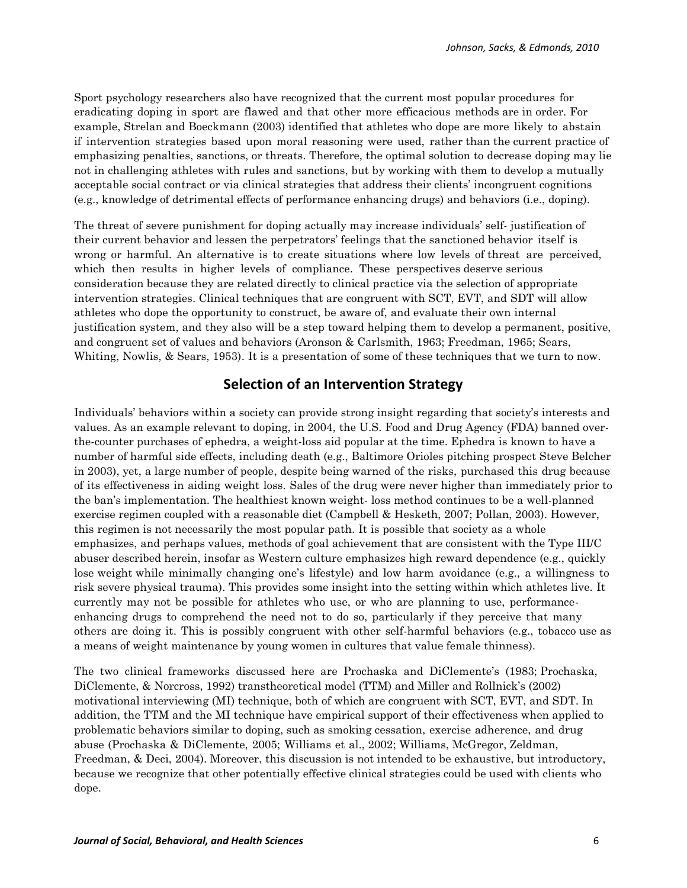Sport psychology researchers also have recognized that the current most popular procedures for eradicating doping in sport are flawed and that other more efficacious methods are in order. For example, Strelan and Boeckmann (2003) identified that athletes who dope are more likely to abstain if intervention strategies based upon moral reasoning were used, rather than the current practice of emphasizing penalties, sanctions, or threats. Therefore, the optimal solution to decrease doping may lie not in challenging athletes with rules and sanctions, but by working with them to develop a mutually acceptable social contract or via clinical strategies that address their clients' incongruent cognitions (e.g., knowledge of detrimental effects of performance enhancing drugs) and behaviors (i.e., doping).

The threat of severe punishment for doping actually may increase individuals' self- justification of their current behavior and lessen the perpetrators' feelings that the sanctioned behavior itself is wrong or harmful. An alternative is to create situations where low levels of threat are perceived, which then results in higher levels of compliance. These perspectives deserve serious consideration because they are related directly to clinical practice via the selection of appropriate intervention strategies. Clinical techniques that are congruent with SCT, EVT, and SDT will allow athletes who dope the opportunity to construct, be aware of, and evaluate their own internal justification system, and they also will be a step toward helping them to develop a permanent, positive, and congruent set of values and behaviors (Aronson & Carlsmith, 1963; Freedman, 1965; Sears, Whiting, Nowlis, & Sears, 1953). It is a presentation of some of these techniques that we turn to now.

# **Selection of an Intervention\*Strategy**

Individuals' behaviors within a society can provide strong insight regarding that society's interests and values. As an example relevant to doping, in 2004, the U.S. Food and Drug Agency (FDA) banned overthe-counter purchases of ephedra, a weight-loss aid popular at the time. Ephedra is known to have a number of harmful side effects, including death (e.g., Baltimore Orioles pitching prospect Steve Belcher in 2003), yet, a large number of people, despite being warned of the risks, purchased this drug because of its effectiveness in aiding weight loss. Sales of the drug were never higher than immediately prior to the ban's implementation. The healthiest known weight- loss method continues to be a well-planned exercise regimen coupled with a reasonable diet (Campbell & Hesketh, 2007; Pollan, 2003). However, this regimen is not necessarily the most popular path. It is possible that society as a whole emphasizes, and perhaps values, methods of goal achievement that are consistent with the Type III/C abuser described herein, insofar as Western culture emphasizes high reward dependence (e.g., quickly lose weight while minimally changing one's lifestyle) and low harm avoidance (e.g., a willingness to risk severe physical trauma). This provides some insight into the setting within which athletes live. It currently may not be possible for athletes who use, or who are planning to use, performanceenhancing drugs to comprehend the need not to do so, particularly if they perceive that many others are doing it. This is possibly congruent with other self-harmful behaviors (e.g., tobacco use as a means of weight maintenance by young women in cultures that value female thinness).

The two clinical frameworks discussed here are Prochaska and DiClemente's (1983; Prochaska, DiClemente, & Norcross, 1992) transtheoretical model (TTM) and Miller and Rollnick's (2002) motivational interviewing (MI) technique, both of which are congruent with SCT, EVT, and SDT. In addition, the TTM and the MI technique have empirical support of their effectiveness when applied to problematic behaviors similar to doping, such as smoking cessation, exercise adherence, and drug abuse (Prochaska & DiClemente, 2005; Williams et al., 2002; Williams, McGregor, Zeldman, Freedman, & Deci, 2004). Moreover, this discussion is not intended to be exhaustive, but introductory, because we recognize that other potentially effective clinical strategies could be used with clients who dope.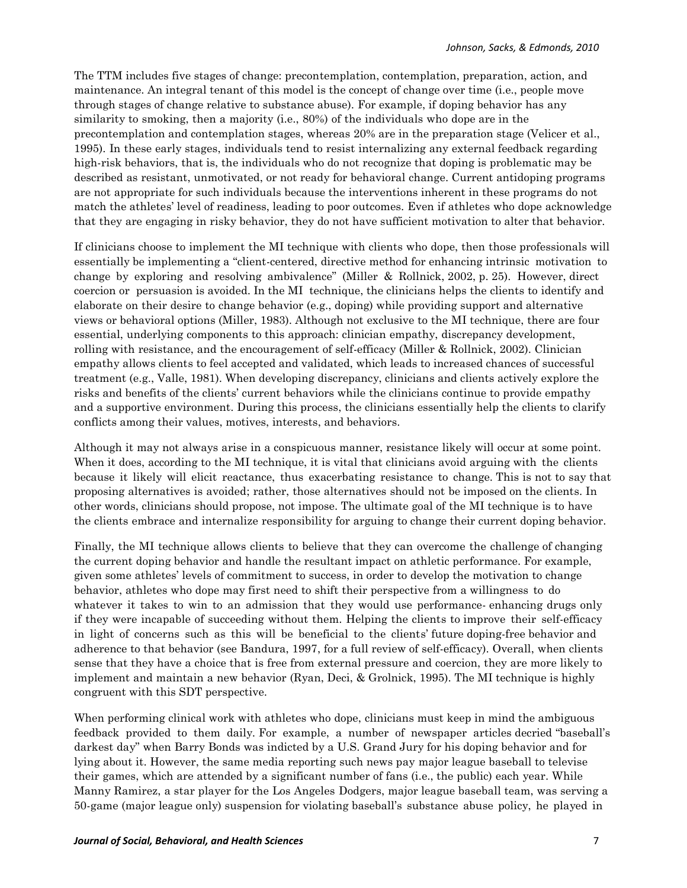The TTM includes five stages of change: precontemplation, contemplation, preparation, action, and maintenance. An integral tenant of this model is the concept of change over time (i.e., people move through stages of change relative to substance abuse). For example, if doping behavior has any similarity to smoking, then a majority (i.e., 80%) of the individuals who dope are in the precontemplation and contemplation stages, whereas 20% are in the preparation stage (Velicer et al., 1995). In these early stages, individuals tend to resist internalizing any external feedback regarding high-risk behaviors, that is, the individuals who do not recognize that doping is problematic may be described as resistant, unmotivated, or not ready for behavioral change. Current antidoping programs are not appropriate for such individuals because the interventions inherent in these programs do not match the athletes' level of readiness, leading to poor outcomes. Even if athletes who dope acknowledge that they are engaging in risky behavior, they do not have sufficient motivation to alter that behavior.

If clinicians choose to implement the MI technique with clients who dope, then those professionals will essentially be implementing a "client-centered, directive method for enhancing intrinsic motivation to change by exploring and resolving ambivalence" (Miller & Rollnick, 2002, p. 25). However, direct coercion or persuasion is avoided. In the MI technique, the clinicians helps the clients to identify and elaborate on their desire to change behavior (e.g., doping) while providing support and alternative views or behavioral options (Miller, 1983). Although not exclusive to the MI technique, there are four essential, underlying components to this approach: clinician empathy, discrepancy development, rolling with resistance, and the encouragement of self-efficacy (Miller & Rollnick, 2002). Clinician empathy allows clients to feel accepted and validated, which leads to increased chances of successful treatment (e.g., Valle, 1981). When developing discrepancy, clinicians and clients actively explore the risks and benefits of the clients' current behaviors while the clinicians continue to provide empathy and a supportive environment. During this process, the clinicians essentially help the clients to clarify conflicts among their values, motives, interests, and behaviors.

Although it may not always arise in a conspicuous manner, resistance likely will occur at some point. When it does, according to the MI technique, it is vital that clinicians avoid arguing with the clients because it likely will elicit reactance, thus exacerbating resistance to change. This is not to say that proposing alternatives is avoided; rather, those alternatives should not be imposed on the clients. In other words, clinicians should propose, not impose. The ultimate goal of the MI technique is to have the clients embrace and internalize responsibility for arguing to change their current doping behavior.

Finally, the MI technique allows clients to believe that they can overcome the challenge of changing the current doping behavior and handle the resultant impact on athletic performance. For example, given some athletes' levels of commitment to success, in order to develop the motivation to change behavior, athletes who dope may first need to shift their perspective from a willingness to do whatever it takes to win to an admission that they would use performance- enhancing drugs only if they were incapable of succeeding without them. Helping the clients to improve their self-efficacy in light of concerns such as this will be beneficial to the clients' future doping-free behavior and adherence to that behavior (see Bandura, 1997, for a full review of self-efficacy). Overall, when clients sense that they have a choice that is free from external pressure and coercion, they are more likely to implement and maintain a new behavior (Ryan, Deci, & Grolnick, 1995). The MI technique is highly congruent with this SDT perspective.

When performing clinical work with athletes who dope, clinicians must keep in mind the ambiguous feedback provided to them daily. For example, a number of newspaper articles decried "baseball's darkest day" when Barry Bonds was indicted by a U.S. Grand Jury for his doping behavior and for lying about it. However, the same media reporting such news pay major league baseball to televise their games, which are attended by a significant number of fans (i.e., the public) each year. While Manny Ramirez, a star player for the Los Angeles Dodgers, major league baseball team, was serving a 50-game (major league only) suspension for violating baseball's substance abuse policy, he played in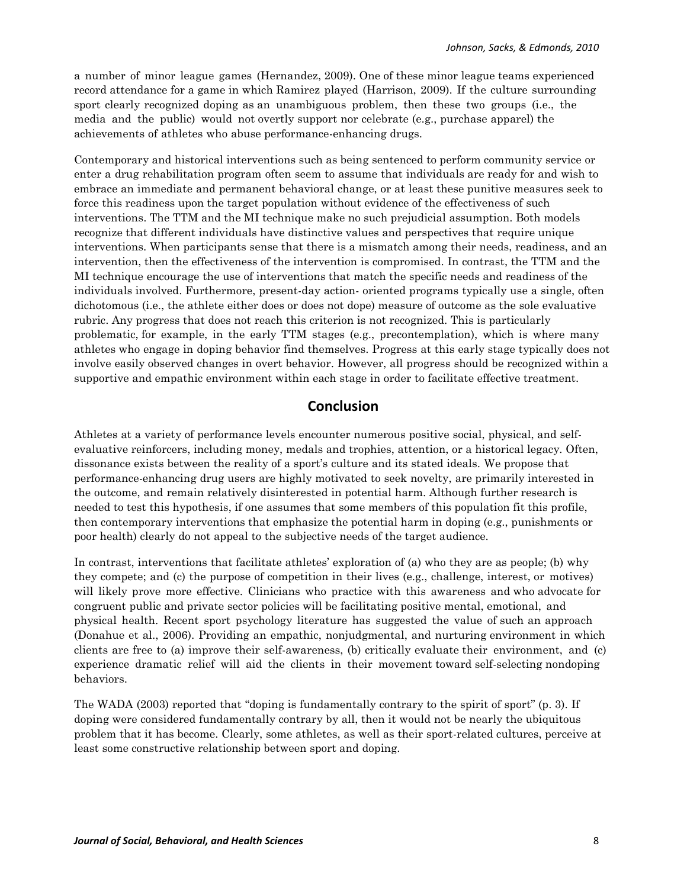a number of minor league games (Hernandez, 2009). One of these minor league teams experienced record attendance for a game in which Ramirez played (Harrison, 2009). If the culture surrounding sport clearly recognized doping as an unambiguous problem, then these two groups (i.e., the media and the public) would not overtly support nor celebrate (e.g., purchase apparel) the achievements of athletes who abuse performance-enhancing drugs.

Contemporary and historical interventions such as being sentenced to perform community service or enter a drug rehabilitation program often seem to assume that individuals are ready for and wish to embrace an immediate and permanent behavioral change, or at least these punitive measures seek to force this readiness upon the target population without evidence of the effectiveness of such interventions. The TTM and the MI technique make no such prejudicial assumption. Both models recognize that different individuals have distinctive values and perspectives that require unique interventions. When participants sense that there is a mismatch among their needs, readiness, and an intervention, then the effectiveness of the intervention is compromised. In contrast, the TTM and the MI technique encourage the use of interventions that match the specific needs and readiness of the individuals involved. Furthermore, present-day action- oriented programs typically use a single, often dichotomous (i.e., the athlete either does or does not dope) measure of outcome as the sole evaluative rubric. Any progress that does not reach this criterion is not recognized. This is particularly problematic, for example, in the early TTM stages (e.g., precontemplation), which is where many athletes who engage in doping behavior find themselves. Progress at this early stage typically does not involve easily observed changes in overt behavior. However, all progress should be recognized within a supportive and empathic environment within each stage in order to facilitate effective treatment.

# **Conclusion**

Athletes at a variety of performance levels encounter numerous positive social, physical, and selfevaluative reinforcers, including money, medals and trophies, attention, or a historical legacy. Often, dissonance exists between the reality of a sport's culture and its stated ideals. We propose that performance-enhancing drug users are highly motivated to seek novelty, are primarily interested in the outcome, and remain relatively disinterested in potential harm. Although further research is needed to test this hypothesis, if one assumes that some members of this population fit this profile, then contemporary interventions that emphasize the potential harm in doping (e.g., punishments or poor health) clearly do not appeal to the subjective needs of the target audience.

In contrast, interventions that facilitate athletes' exploration of (a) who they are as people; (b) why they compete; and (c) the purpose of competition in their lives (e.g., challenge, interest, or motives) will likely prove more effective. Clinicians who practice with this awareness and who advocate for congruent public and private sector policies will be facilitating positive mental, emotional, and physical health. Recent sport psychology literature has suggested the value of such an approach (Donahue et al., 2006). Providing an empathic, nonjudgmental, and nurturing environment in which clients are free to (a) improve their self-awareness, (b) critically evaluate their environment, and (c) experience dramatic relief will aid the clients in their movement toward self-selecting nondoping behaviors.

The WADA (2003) reported that "doping is fundamentally contrary to the spirit of sport" (p. 3). If doping were considered fundamentally contrary by all, then it would not be nearly the ubiquitous problem that it has become. Clearly, some athletes, as well as their sport-related cultures, perceive at least some constructive relationship between sport and doping.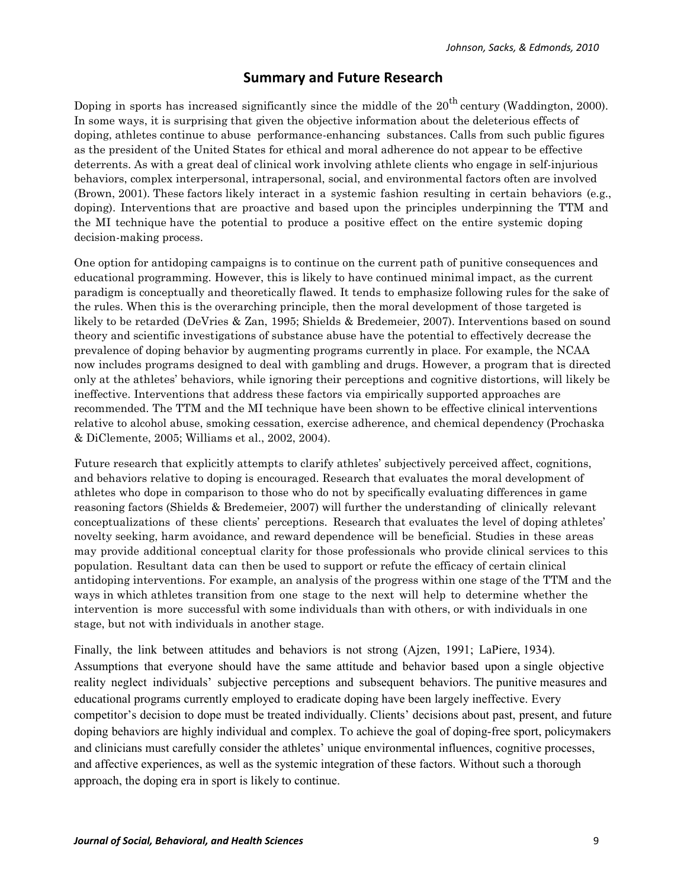# **Summary\*and Future Research**

Doping in sports has increased significantly since the middle of the  $20<sup>th</sup>$  century (Waddington, 2000). In some ways, it is surprising that given the objective information about the deleterious effects of doping, athletes continue to abuse performance-enhancing substances. Calls from such public figures as the president of the United States for ethical and moral adherence do not appear to be effective deterrents. As with a great deal of clinical work involving athlete clients who engage in self-injurious behaviors, complex interpersonal, intrapersonal, social, and environmental factors often are involved (Brown, 2001). These factors likely interact in a systemic fashion resulting in certain behaviors (e.g., doping). Interventions that are proactive and based upon the principles underpinning the TTM and the MI technique have the potential to produce a positive effect on the entire systemic doping decision-making process.

One option for antidoping campaigns is to continue on the current path of punitive consequences and educational programming. However, this is likely to have continued minimal impact, as the current paradigm is conceptually and theoretically flawed. It tends to emphasize following rules for the sake of the rules. When this is the overarching principle, then the moral development of those targeted is likely to be retarded (DeVries & Zan, 1995; Shields & Bredemeier, 2007). Interventions based on sound theory and scientific investigations of substance abuse have the potential to effectively decrease the prevalence of doping behavior by augmenting programs currently in place. For example, the NCAA now includes programs designed to deal with gambling and drugs. However, a program that is directed only at the athletes' behaviors, while ignoring their perceptions and cognitive distortions, will likely be ineffective. Interventions that address these factors via empirically supported approaches are recommended. The TTM and the MI technique have been shown to be effective clinical interventions relative to alcohol abuse, smoking cessation, exercise adherence, and chemical dependency (Prochaska & DiClemente, 2005; Williams et al., 2002, 2004).

Future research that explicitly attempts to clarify athletes' subjectively perceived affect, cognitions, and behaviors relative to doping is encouraged. Research that evaluates the moral development of athletes who dope in comparison to those who do not by specifically evaluating differences in game reasoning factors (Shields & Bredemeier, 2007) will further the understanding of clinically relevant conceptualizations of these clients' perceptions. Research that evaluates the level of doping athletes' novelty seeking, harm avoidance, and reward dependence will be beneficial. Studies in these areas may provide additional conceptual clarity for those professionals who provide clinical services to this population. Resultant data can then be used to support or refute the efficacy of certain clinical antidoping interventions. For example, an analysis of the progress within one stage of the TTM and the ways in which athletes transition from one stage to the next will help to determine whether the intervention is more successful with some individuals than with others, or with individuals in one stage, but not with individuals in another stage.

Finally, the link between attitudes and behaviors is not strong (Ajzen, 1991; LaPiere, 1934). Assumptions that everyone should have the same attitude and behavior based upon a single objective reality neglect individuals' subjective perceptions and subsequent behaviors. The punitive measures and educational programs currently employed to eradicate doping have been largely ineffective. Every competitor's decision to dope must be treated individually. Clients' decisions about past, present, and future doping behaviors are highly individual and complex. To achieve the goal of doping-free sport, policymakers and clinicians must carefully consider the athletes' unique environmental influences, cognitive processes, and affective experiences, as well as the systemic integration of these factors. Without such a thorough approach, the doping era in sport is likely to continue.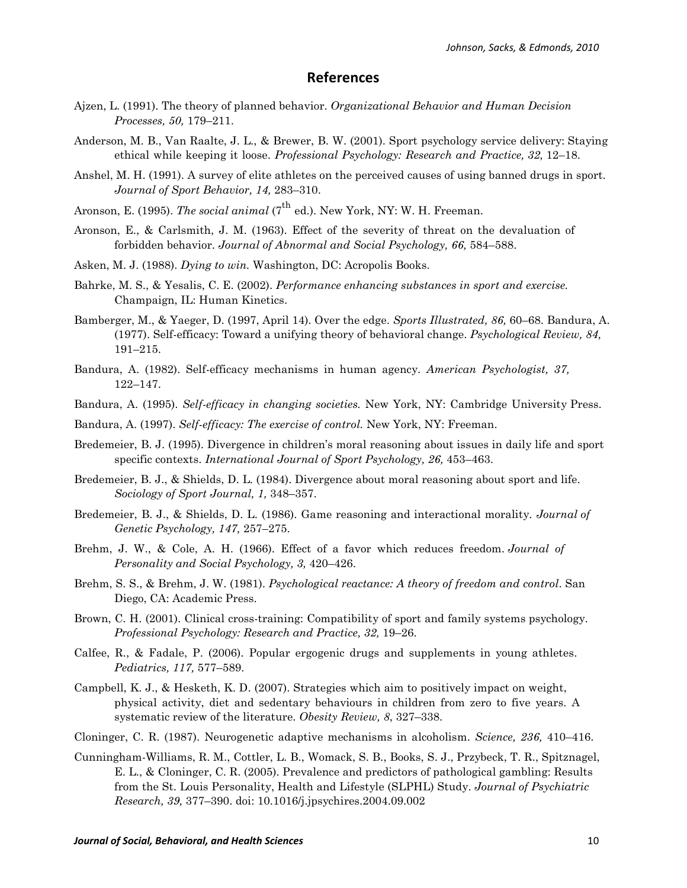#### **References**

- Ajzen, L. (1991). The theory of planned behavior. *Organizational Behavior and Human Decision Processes, 50,* 179–211.
- Anderson, M. B., Van Raalte, J. L., & Brewer, B. W. (2001). Sport psychology service delivery: Staying ethical while keeping it loose. *Professional Psychology: Research and Practice, 32,* 12–18.
- Anshel, M. H. (1991). A survey of elite athletes on the perceived causes of using banned drugs in sport. *Journal of Sport Behavior, 14,* 283–310.
- Aronson, E. (1995). *The social animal* (7<sup>th</sup> ed.). New York, NY: W. H. Freeman.
- Aronson, E., & Carlsmith, J. M. (1963). Effect of the severity of threat on the devaluation of forbidden behavior. *Journal of Abnormal and Social Psychology, 66,* 584–588.
- Asken, M. J. (1988). *Dying to win.* Washington, DC: Acropolis Books.
- Bahrke, M. S., & Yesalis, C. E. (2002). *Performance enhancing substances in sport and exercise.* Champaign, IL: Human Kinetics.
- Bamberger, M., & Yaeger, D. (1997, April 14). Over the edge. *Sports Illustrated, 86,* 60–68. Bandura, A. (1977). Self-efficacy: Toward a unifying theory of behavioral change. *Psychological Review, 84,* 191–215.
- Bandura, A. (1982). Self-efficacy mechanisms in human agency. *American Psychologist, 37,* 122–147.
- Bandura, A. (1995). *Self-efficacy in changing societies.* New York, NY: Cambridge University Press.
- Bandura, A. (1997). *Self-efficacy: The exercise of control.* New York, NY: Freeman.
- Bredemeier, B. J. (1995). Divergence in children's moral reasoning about issues in daily life and sport specific contexts. *International Journal of Sport Psychology, 26,* 453–463.
- Bredemeier, B. J., & Shields, D. L. (1984). Divergence about moral reasoning about sport and life. *Sociology of Sport Journal, 1,* 348–357.
- Bredemeier, B. J., & Shields, D. L. (1986). Game reasoning and interactional morality. *Journal of Genetic Psychology, 147,* 257–275.
- Brehm, J. W., & Cole, A. H. (1966). Effect of a favor which reduces freedom. *Journal of Personality and Social Psychology, 3,* 420–426.
- Brehm, S. S., & Brehm, J. W. (1981). *Psychological reactance: A theory of freedom and control*. San Diego, CA: Academic Press.
- Brown, C. H. (2001). Clinical cross-training: Compatibility of sport and family systems psychology. *Professional Psychology: Research and Practice, 32,* 19–26.
- Calfee, R., & Fadale, P. (2006). Popular ergogenic drugs and supplements in young athletes. *Pediatrics, 117,* 577–589.
- Campbell, K. J., & Hesketh, K. D. (2007). Strategies which aim to positively impact on weight, physical activity, diet and sedentary behaviours in children from zero to five years. A systematic review of the literature. *Obesity Review, 8*, 327–338.
- Cloninger, C. R. (1987). Neurogenetic adaptive mechanisms in alcoholism. *Science, 236,* 410–416.
- Cunningham-Williams, R. M., Cottler, L. B., Womack, S. B., Books, S. J., Przybeck, T. R., Spitznagel, E. L., & Cloninger, C. R. (2005). Prevalence and predictors of pathological gambling: Results from the St. Louis Personality, Health and Lifestyle (SLPHL) Study. *Journal of Psychiatric Research, 39,* 377–390. doi: 10.1016/j.jpsychires.2004.09.002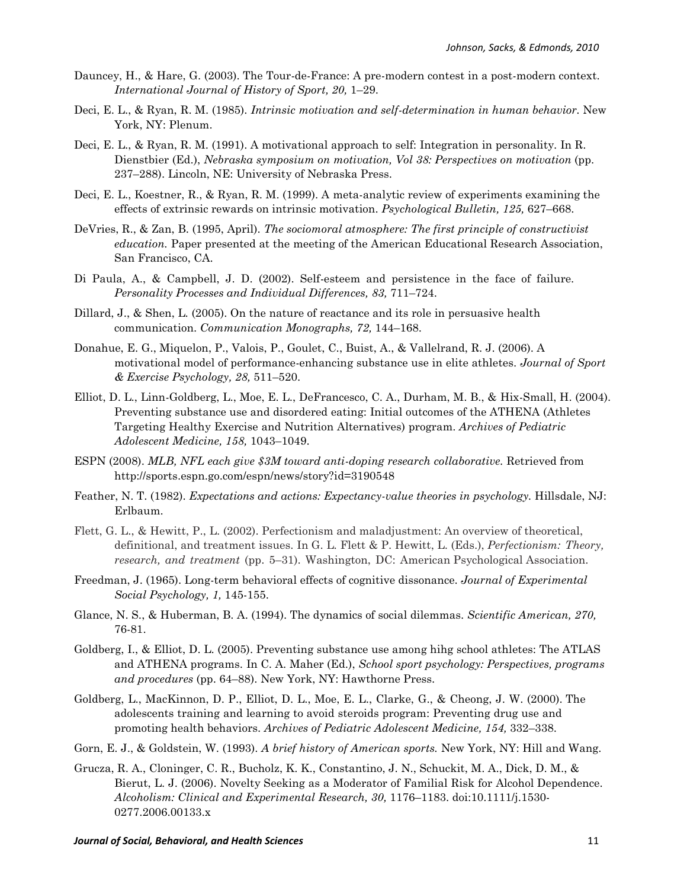- Dauncey, H., & Hare, G. (2003). The Tour-de-France: A pre-modern contest in a post-modern context. *International Journal of History of Sport, 20,* 1–29.
- Deci, E. L., & Ryan, R. M. (1985). *Intrinsic motivation and self-determination in human behavior.* New York, NY: Plenum.
- Deci, E. L., & Ryan, R. M. (1991). A motivational approach to self: Integration in personality. In R. Dienstbier (Ed.), *Nebraska symposium on motivation, Vol 38: Perspectives on motivation* (pp. 237–288). Lincoln, NE: University of Nebraska Press.
- Deci, E. L., Koestner, R., & Ryan, R. M. (1999). A meta-analytic review of experiments examining the effects of extrinsic rewards on intrinsic motivation. *Psychological Bulletin, 125,* 627–668.
- DeVries, R., & Zan, B. (1995, April). *The sociomoral atmosphere: The first principle of constructivist education.* Paper presented at the meeting of the American Educational Research Association, San Francisco, CA.
- Di Paula, A., & Campbell, J. D. (2002). Self-esteem and persistence in the face of failure. *Personality Processes and Individual Differences, 83,* 711–724.
- Dillard, J., & Shen, L. (2005). On the nature of reactance and its role in persuasive health communication. *Communication Monographs, 72,* 144–168.
- Donahue, E. G., Miquelon, P., Valois, P., Goulet, C., Buist, A., & Vallelrand, R. J. (2006). A motivational model of performance-enhancing substance use in elite athletes. *Journal of Sport & Exercise Psychology, 28,* 511–520.
- Elliot, D. L., Linn-Goldberg, L., Moe, E. L., DeFrancesco, C. A., Durham, M. B., & Hix-Small, H. (2004). Preventing substance use and disordered eating: Initial outcomes of the ATHENA (Athletes Targeting Healthy Exercise and Nutrition Alternatives) program. *Archives of Pediatric Adolescent Medicine, 158,* 1043–1049.
- ESPN (2008). *MLB, NFL each give \$3M toward anti-doping research collaborative.* Retrieved from http://sports.espn.go.com/espn/news/story?id=3190548
- Feather, N. T. (1982). *Expectations and actions: Expectancy-value theories in psychology.* Hillsdale, NJ: Erlbaum.
- Flett, G. L., & Hewitt, P., L. (2002). Perfectionism and maladjustment: An overview of theoretical, definitional, and treatment issues. In G. L. Flett & P. Hewitt, L. (Eds.), *Perfectionism: Theory, research, and treatment* (pp. 5–31). Washington, DC: American Psychological Association.
- Freedman, J. (1965). Long-term behavioral effects of cognitive dissonance. *Journal of Experimental Social Psychology, 1,* 145-155.
- Glance, N. S., & Huberman, B. A. (1994). The dynamics of social dilemmas. *Scientific American, 270,*  76-81.
- Goldberg, I., & Elliot, D. L. (2005). Preventing substance use among hihg school athletes: The ATLAS and ATHENA programs. In C. A. Maher (Ed.), *School sport psychology: Perspectives, programs and procedures* (pp. 64–88). New York, NY: Hawthorne Press.
- Goldberg, L., MacKinnon, D. P., Elliot, D. L., Moe, E. L., Clarke, G., & Cheong, J. W. (2000). The adolescents training and learning to avoid steroids program: Preventing drug use and promoting health behaviors. *Archives of Pediatric Adolescent Medicine, 154,* 332–338.
- Gorn, E. J., & Goldstein, W. (1993). *A brief history of American sports.* New York, NY: Hill and Wang.
- Grucza, R. A., Cloninger, C. R., Bucholz, K. K., Constantino, J. N., Schuckit, M. A., Dick, D. M., & Bierut, L. J. (2006). Novelty Seeking as a Moderator of Familial Risk for Alcohol Dependence. *Alcoholism: Clinical and Experimental Research, 30,* 1176–1183. doi:10.1111/j.1530- 0277.2006.00133.x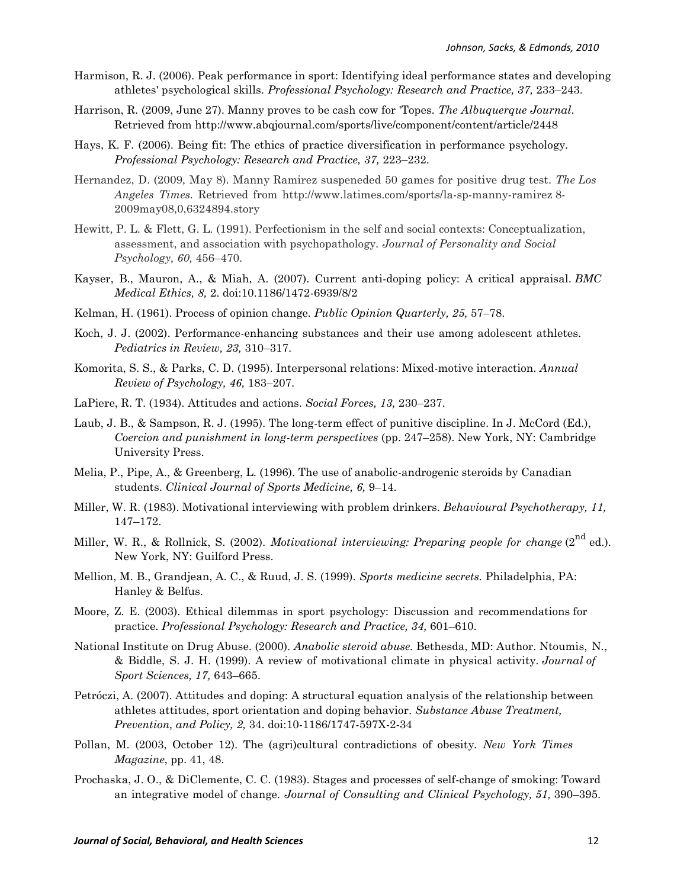- Harmison, R. J. (2006). Peak performance in sport: Identifying ideal performance states and developing athletes' psychological skills. *Professional Psychology: Research and Practice, 37,* 233–243.
- Harrison, R. (2009, June 27). Manny proves to be cash cow for 'Topes. *The Albuquerque Journal*. Retrieved from http://www.abqjournal.com/sports/live/component/content/article/2448
- Hays, K. F. (2006). Being fit: The ethics of practice diversification in performance psychology. *Professional Psychology: Research and Practice, 37,* 223–232.
- Hernandez, D. (2009, May 8). Manny Ramirez suspeneded 50 games for positive drug test. *The Los Angeles Times.* Retrieved from http://www.latimes.com/sports/la-sp-manny-ramirez 8- 2009may08,0,6324894.story
- Hewitt, P. L. & Flett, G. L. (1991). Perfectionism in the self and social contexts: Conceptualization, assessment, and association with psychopathology. *Journal of Personality and Social Psychology, 60,* 456–470.
- Kayser, B., Mauron, A., & Miah, A. (2007). Current anti-doping policy: A critical appraisal. *BMC Medical Ethics, 8,* 2. doi:10.1186/1472-6939/8/2
- Kelman, H. (1961). Process of opinion change. *Public Opinion Quarterly, 25,* 57–78.
- Koch, J. J. (2002). Performance-enhancing substances and their use among adolescent athletes. *Pediatrics in Review, 23,* 310–317.
- Komorita, S. S., & Parks, C. D. (1995). Interpersonal relations: Mixed-motive interaction. *Annual Review of Psychology, 46,* 183–207.
- LaPiere, R. T. (1934). Attitudes and actions. *Social Forces, 13,* 230–237.
- Laub, J. B., & Sampson, R. J. (1995). The long-term effect of punitive discipline. In J. McCord (Ed.), *Coercion and punishment in long-term perspectives* (pp. 247–258). New York, NY: Cambridge University Press.
- Melia, P., Pipe, A., & Greenberg, L. (1996). The use of anabolic-androgenic steroids by Canadian students. *Clinical Journal of Sports Medicine, 6,* 9–14.
- Miller, W. R. (1983). Motivational interviewing with problem drinkers. *Behavioural Psychotherapy, 11,*  147–172.
- Miller, W. R., & Rollnick, S. (2002). *Motivational interviewing: Preparing people for change* (2nd ed.). New York, NY: Guilford Press.
- Mellion, M. B., Grandjean, A. C., & Ruud, J. S. (1999). *Sports medicine secrets.* Philadelphia, PA: Hanley & Belfus.
- Moore, Z. E. (2003). Ethical dilemmas in sport psychology: Discussion and recommendations for practice. *Professional Psychology: Research and Practice, 34,* 601–610.
- National Institute on Drug Abuse. (2000). *Anabolic steroid abuse.* Bethesda, MD: Author. Ntoumis, N., & Biddle, S. J. H. (1999). A review of motivational climate in physical activity. *Journal of Sport Sciences, 17,* 643–665.
- Petróczi, A. (2007). Attitudes and doping: A structural equation analysis of the relationship between athletes attitudes, sport orientation and doping behavior. *Substance Abuse Treatment, Prevention, and Policy, 2,* 34. doi:10-1186/1747-597X-2-34
- Pollan, M. (2003, October 12). The (agri)cultural contradictions of obesity. *New York Times Magazine*, pp. 41, 48.
- Prochaska, J. O., & DiClemente, C. C. (1983). Stages and processes of self-change of smoking: Toward an integrative model of change. *Journal of Consulting and Clinical Psychology, 51,* 390–395.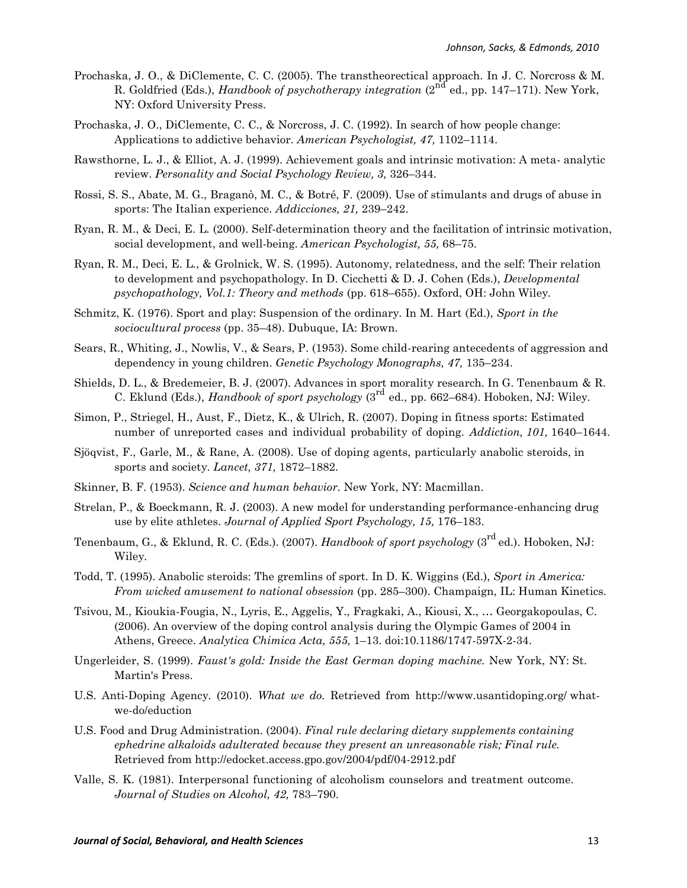- Prochaska, J. O., & DiClemente, C. C. (2005). The transtheorectical approach. In J. C. Norcross & M. R. Goldfried (Eds.), *Handbook of psychotherapy integration* (2<sup>nd</sup> ed., pp. 147–171). New York, NY: Oxford University Press.
- Prochaska, J. O., DiClemente, C. C., & Norcross, J. C. (1992). In search of how people change: Applications to addictive behavior. *American Psychologist, 47,* 1102–1114.
- Rawsthorne, L. J., & Elliot, A. J. (1999). Achievement goals and intrinsic motivation: A meta- analytic review. *Personality and Social Psychology Review, 3,* 326–344.
- Rossi, S. S., Abate, M. G., Braganò, M. C., & Botré, F. (2009). Use of stimulants and drugs of abuse in sports: The Italian experience. *Addicciones, 21,* 239–242.
- Ryan, R. M., & Deci, E. L. (2000). Self-determination theory and the facilitation of intrinsic motivation, social development, and well-being. *American Psychologist, 55,* 68–75.
- Ryan, R. M., Deci, E. L., & Grolnick, W. S. (1995). Autonomy, relatedness, and the self: Their relation to development and psychopathology. In D. Cicchetti & D. J. Cohen (Eds.), *Developmental psychopathology, Vol.1: Theory and methods* (pp. 618–655). Oxford, OH: John Wiley.
- Schmitz, K. (1976). Sport and play: Suspension of the ordinary. In M. Hart (Ed.), *Sport in the sociocultural process* (pp. 35–48). Dubuque, IA: Brown.
- Sears, R., Whiting, J., Nowlis, V., & Sears, P. (1953). Some child-rearing antecedents of aggression and dependency in young children. *Genetic Psychology Monographs, 47,* 135–234.
- Shields, D. L., & Bredemeier, B. J. (2007). Advances in sport morality research. In G. Tenenbaum & R. C. Eklund (Eds.), *Handbook of sport psychology* (3rd ed., pp. 662–684). Hoboken, NJ: Wiley.
- Simon, P., Striegel, H., Aust, F., Dietz, K., & Ulrich, R. (2007). Doping in fitness sports: Estimated number of unreported cases and individual probability of doping. *Addiction, 101,* 1640–1644.
- Sjöqvist, F., Garle, M., & Rane, A. (2008). Use of doping agents, particularly anabolic steroids, in sports and society. *Lancet, 371,* 1872–1882.
- Skinner, B. F. (1953). *Science and human behavior.* New York, NY: Macmillan.
- Strelan, P., & Boeckmann, R. J. (2003). A new model for understanding performance-enhancing drug use by elite athletes. *Journal of Applied Sport Psychology, 15,* 176–183.
- Tenenbaum, G., & Eklund, R. C. (Eds.). (2007). *Handbook of sport psychology* (3<sup>rd</sup> ed.). Hoboken, NJ: Wiley.
- Todd, T. (1995). Anabolic steroids: The gremlins of sport. In D. K. Wiggins (Ed.), *Sport in America: From wicked amusement to national obsession* (pp. 285–300). Champaign, IL: Human Kinetics.
- Tsivou, M., Kioukia-Fougia, N., Lyris, E., Aggelis, Y., Fragkaki, A., Kiousi, X., … Georgakopoulas, C. (2006). An overview of the doping control analysis during the Olympic Games of 2004 in Athens, Greece. *Analytica Chimica Acta, 555,* 1–13. doi:10.1186/1747-597X-2-34.
- Ungerleider, S. (1999). *Faust's gold: Inside the East German doping machine.* New York, NY: St. Martin's Press.
- U.S. Anti-Doping Agency. (2010). *What we do.* Retrieved from http://www.usantidoping.org/ whatwe-do/eduction
- U.S. Food and Drug Administration. (2004). *Final rule declaring dietary supplements containing ephedrine alkaloids adulterated because they present an unreasonable risk; Final rule.*  Retrieved from http://edocket.access.gpo.gov/2004/pdf/04-2912.pdf
- Valle, S. K. (1981). Interpersonal functioning of alcoholism counselors and treatment outcome. *Journal of Studies on Alcohol, 42,* 783–790.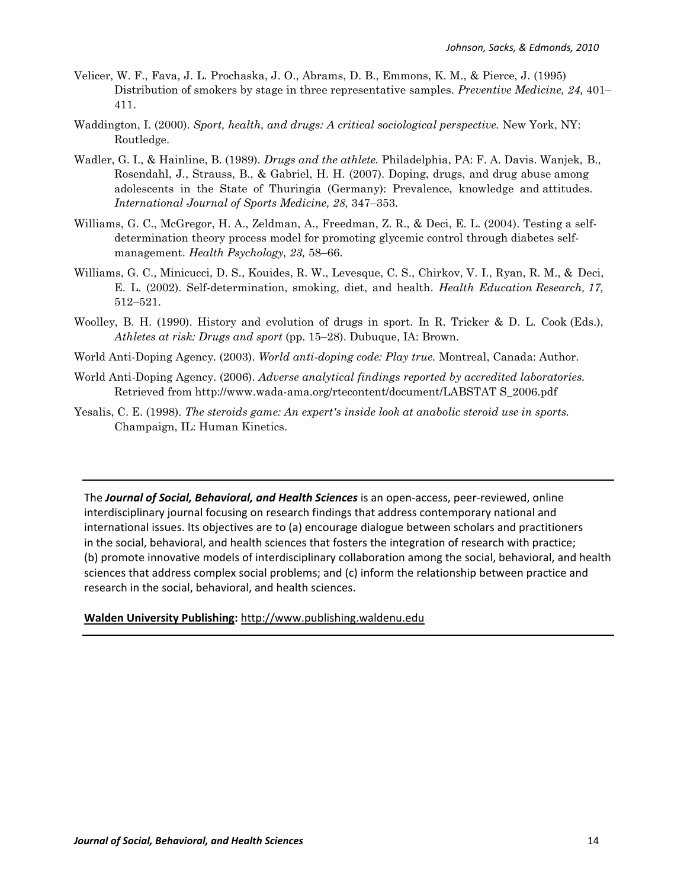- Velicer, W. F., Fava, J. L. Prochaska, J. O., Abrams, D. B., Emmons, K. M., & Pierce, J. (1995) Distribution of smokers by stage in three representative samples. *Preventive Medicine, 24,* 401– 411.
- Waddington, I. (2000). *Sport, health, and drugs: A critical sociological perspective.* New York, NY: Routledge.
- Wadler, G. I., & Hainline, B. (1989). *Drugs and the athlete.* Philadelphia, PA: F. A. Davis. Wanjek, B., Rosendahl, J., Strauss, B., & Gabriel, H. H. (2007). Doping, drugs, and drug abuse among adolescents in the State of Thuringia (Germany): Prevalence, knowledge and attitudes. *International Journal of Sports Medicine, 28,* 347–353.
- Williams, G. C., McGregor, H. A., Zeldman, A., Freedman, Z. R., & Deci, E. L. (2004). Testing a selfdetermination theory process model for promoting glycemic control through diabetes selfmanagement. *Health Psychology, 23,* 58–66.
- Williams, G. C., Minicucci, D. S., Kouides, R. W., Levesque, C. S., Chirkov, V. I., Ryan, R. M., & Deci, E. L. (2002). Self-determination, smoking, diet, and health. *Health Education Research, 17,*  512–521.
- Woolley, B. H. (1990). History and evolution of drugs in sport. In R. Tricker & D. L. Cook (Eds.), *Athletes at risk: Drugs and sport* (pp. 15–28). Dubuque, IA: Brown.
- World Anti-Doping Agency. (2003). *World anti-doping code: Play true.* Montreal, Canada: Author.
- World Anti-Doping Agency. (2006). *Adverse analytical findings reported by accredited laboratories.*  Retrieved from http://www.wada-ama.org/rtecontent/document/LABSTAT S\_2006.pdf
- Yesalis, C. E. (1998). *The steroids game: An expert's inside look at anabolic steroid use in sports.* Champaign, IL: Human Kinetics.

The *Journal of Social, Behavioral, and Health Sciences* is an open-access, peer-reviewed, online interdisciplinary journal focusing on research findings that address contemporary national and international issues. Its objectives are to (a) encourage dialogue between scholars and practitioners in the social, behavioral, and health sciences that fosters the integration of research with practice; (b) promote innovative models of interdisciplinary collaboration among the social, behavioral, and health sciences that address complex social problems; and (c) inform the relationship between practice and research in the social, behavioral, and health sciences.

#### **Walden\*University\*Publishing:\***http://www.publishing.waldenu.edu